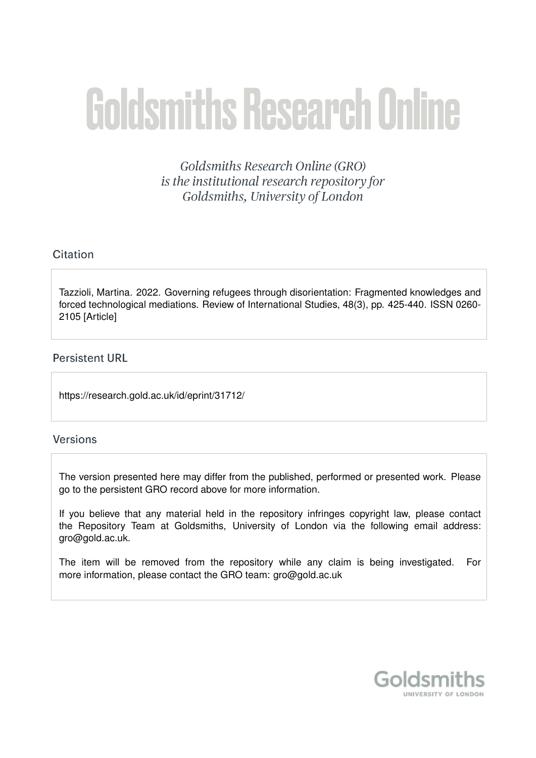# **Goldsmiths Research Online**

Goldsmiths Research Online (GRO) is the institutional research repository for Goldsmiths, University of London

# Citation

Tazzioli, Martina. 2022. Governing refugees through disorientation: Fragmented knowledges and forced technological mediations. Review of International Studies, 48(3), pp. 425-440. ISSN 0260- 2105 [Article]

## **Persistent URL**

https://research.gold.ac.uk/id/eprint/31712/

## **Versions**

The version presented here may differ from the published, performed or presented work. Please go to the persistent GRO record above for more information.

If you believe that any material held in the repository infringes copyright law, please contact the Repository Team at Goldsmiths, University of London via the following email address: gro@gold.ac.uk.

The item will be removed from the repository while any claim is being investigated. For more information, please contact the GRO team: gro@gold.ac.uk

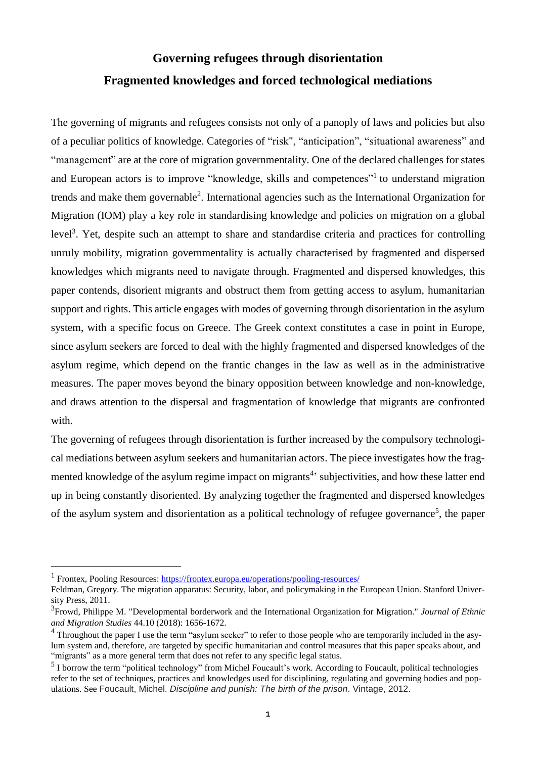# **Governing refugees through disorientation Fragmented knowledges and forced technological mediations**

The governing of migrants and refugees consists not only of a panoply of laws and policies but also of a peculiar politics of knowledge. Categories of "risk", "anticipation", "situational awareness" and "management" are at the core of migration governmentality. One of the declared challenges for states and European actors is to improve "knowledge, skills and competences"<sup>1</sup> to understand migration trends and make them governable<sup>2</sup>. International agencies such as the International Organization for Migration (IOM) play a key role in standardising knowledge and policies on migration on a global level<sup>3</sup>. Yet, despite such an attempt to share and standardise criteria and practices for controlling unruly mobility, migration governmentality is actually characterised by fragmented and dispersed knowledges which migrants need to navigate through. Fragmented and dispersed knowledges, this paper contends, disorient migrants and obstruct them from getting access to asylum, humanitarian support and rights. This article engages with modes of governing through disorientation in the asylum system, with a specific focus on Greece. The Greek context constitutes a case in point in Europe, since asylum seekers are forced to deal with the highly fragmented and dispersed knowledges of the asylum regime, which depend on the frantic changes in the law as well as in the administrative measures. The paper moves beyond the binary opposition between knowledge and non-knowledge, and draws attention to the dispersal and fragmentation of knowledge that migrants are confronted with.

The governing of refugees through disorientation is further increased by the compulsory technological mediations between asylum seekers and humanitarian actors. The piece investigates how the fragmented knowledge of the asylum regime impact on migrants<sup>4</sup> subjectivities, and how these latter end up in being constantly disoriented. By analyzing together the fragmented and dispersed knowledges of the asylum system and disorientation as a political technology of refugee governance<sup>5</sup>, the paper

<sup>&</sup>lt;sup>1</sup> Frontex, Pooling Resources: <https://frontex.europa.eu/operations/pooling-resources/>

Feldman, Gregory. The migration apparatus: Security, labor, and policymaking in the European Union. Stanford University Press, 2011.

<sup>3</sup> Frowd, Philippe M. "Developmental borderwork and the International Organization for Migration." *Journal of Ethnic and Migration Studies* 44.10 (2018): 1656-1672.

<sup>&</sup>lt;sup>4</sup> Throughout the paper I use the term "asylum seeker" to refer to those people who are temporarily included in the asylum system and, therefore, are targeted by specific humanitarian and control measures that this paper speaks about, and "migrants" as a more general term that does not refer to any specific legal status.

<sup>&</sup>lt;sup>5</sup> I borrow the term "political technology" from Michel Foucault's work. According to Foucault, political technologies refer to the set of techniques, practices and knowledges used for disciplining, regulating and governing bodies and populations. See Foucault, Michel. *Discipline and punish: The birth of the prison*. Vintage, 2012.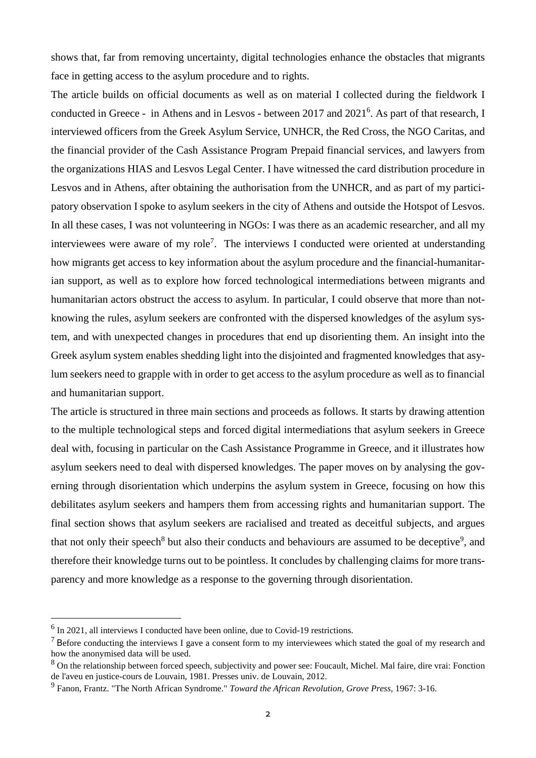shows that, far from removing uncertainty, digital technologies enhance the obstacles that migrants face in getting access to the asylum procedure and to rights.

The article builds on official documents as well as on material I collected during the fieldwork I conducted in Greece - in Athens and in Lesvos - between 2017 and 2021<sup>6</sup>. As part of that research, I interviewed officers from the Greek Asylum Service, UNHCR, the Red Cross, the NGO Caritas, and the financial provider of the Cash Assistance Program Prepaid financial services, and lawyers from the organizations HIAS and Lesvos Legal Center. I have witnessed the card distribution procedure in Lesvos and in Athens, after obtaining the authorisation from the UNHCR, and as part of my participatory observation I spoke to asylum seekers in the city of Athens and outside the Hotspot of Lesvos. In all these cases, I was not volunteering in NGOs: I was there as an academic researcher, and all my interviewees were aware of my role<sup>7</sup>. The interviews I conducted were oriented at understanding how migrants get access to key information about the asylum procedure and the financial-humanitarian support, as well as to explore how forced technological intermediations between migrants and humanitarian actors obstruct the access to asylum. In particular, I could observe that more than notknowing the rules, asylum seekers are confronted with the dispersed knowledges of the asylum system, and with unexpected changes in procedures that end up disorienting them. An insight into the Greek asylum system enables shedding light into the disjointed and fragmented knowledges that asylum seekers need to grapple with in order to get access to the asylum procedure as well as to financial and humanitarian support.

The article is structured in three main sections and proceeds as follows. It starts by drawing attention to the multiple technological steps and forced digital intermediations that asylum seekers in Greece deal with, focusing in particular on the Cash Assistance Programme in Greece, and it illustrates how asylum seekers need to deal with dispersed knowledges. The paper moves on by analysing the governing through disorientation which underpins the asylum system in Greece, focusing on how this debilitates asylum seekers and hampers them from accessing rights and humanitarian support. The final section shows that asylum seekers are racialised and treated as deceitful subjects, and argues that not only their speech<sup>8</sup> but also their conducts and behaviours are assumed to be deceptive<sup>9</sup>, and therefore their knowledge turns out to be pointless. It concludes by challenging claims for more transparency and more knowledge as a response to the governing through disorientation.

 $<sup>6</sup>$  In 2021, all interviews I conducted have been online, due to Covid-19 restrictions.</sup>

 $<sup>7</sup>$  Before conducting the interviews I gave a consent form to my interviewees which stated the goal of my research and</sup> how the anonymised data will be used.

<sup>&</sup>lt;sup>8</sup> On the relationship between forced speech, subjectivity and power see: Foucault, Michel. Mal faire, dire vrai: Fonction de l'aveu en justice-cours de Louvain, 1981. Presses univ. de Louvain, 2012.

<sup>9</sup> Fanon, Frantz. "The North African Syndrome." *Toward the African Revolution, Grove Press,* 1967: 3-16.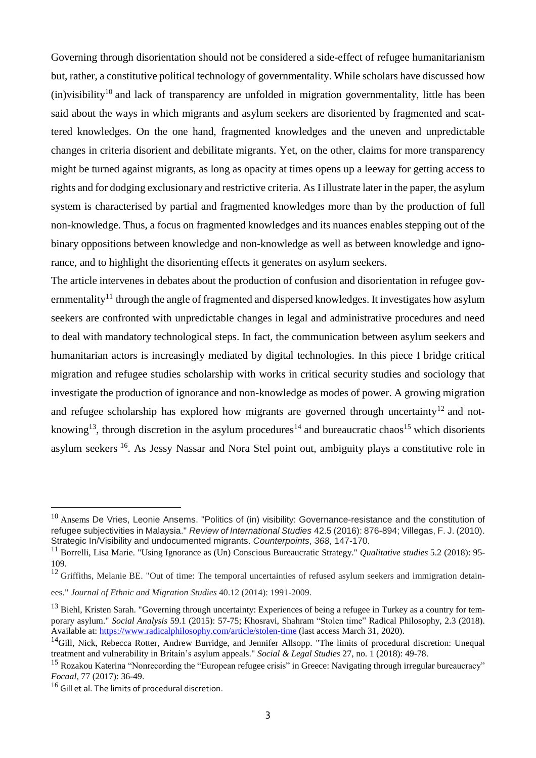Governing through disorientation should not be considered a side-effect of refugee humanitarianism but, rather, a constitutive political technology of governmentality. While scholars have discussed how  $(in)$ visibility<sup>10</sup> and lack of transparency are unfolded in migration governmentality, little has been said about the ways in which migrants and asylum seekers are disoriented by fragmented and scattered knowledges. On the one hand, fragmented knowledges and the uneven and unpredictable changes in criteria disorient and debilitate migrants. Yet, on the other, claims for more transparency might be turned against migrants, as long as opacity at times opens up a leeway for getting access to rights and for dodging exclusionary and restrictive criteria. As I illustrate later in the paper, the asylum system is characterised by partial and fragmented knowledges more than by the production of full non-knowledge. Thus, a focus on fragmented knowledges and its nuances enables stepping out of the binary oppositions between knowledge and non-knowledge as well as between knowledge and ignorance, and to highlight the disorienting effects it generates on asylum seekers.

The article intervenes in debates about the production of confusion and disorientation in refugee governmentality<sup>11</sup> through the angle of fragmented and dispersed knowledges. It investigates how asylum seekers are confronted with unpredictable changes in legal and administrative procedures and need to deal with mandatory technological steps. In fact, the communication between asylum seekers and humanitarian actors is increasingly mediated by digital technologies. In this piece I bridge critical migration and refugee studies scholarship with works in critical security studies and sociology that investigate the production of ignorance and non-knowledge as modes of power. A growing migration and refugee scholarship has explored how migrants are governed through uncertainty<sup>12</sup> and notknowing<sup>13</sup>, through discretion in the asylum procedures<sup>14</sup> and bureaucratic chaos<sup>15</sup> which disorients asylum seekers <sup>16</sup>. As Jessy Nassar and Nora Stel point out, ambiguity plays a constitutive role in

<sup>&</sup>lt;sup>10</sup> Ansems De Vries, Leonie Ansems. "Politics of (in) visibility: Governance-resistance and the constitution of refugee subjectivities in Malaysia." *Review of International Studies* 42.5 (2016): 876-894; Villegas, F. J. (2010). Strategic In/Visibility and undocumented migrants. *Counterpoints*, *368*, 147-170.

<sup>11</sup> Borrelli, Lisa Marie. "Using Ignorance as (Un) Conscious Bureaucratic Strategy." *Qualitative studies* 5.2 (2018): 95- 109.

 $12$  Griffiths, Melanie BE. "Out of time: The temporal uncertainties of refused asylum seekers and immigration detain-

ees." *Journal of Ethnic and Migration Studies* 40.12 (2014): 1991-2009.

<sup>&</sup>lt;sup>13</sup> Biehl, Kristen Sarah. "Governing through uncertainty: Experiences of being a refugee in Turkey as a country for temporary asylum." *Social Analysis* 59.1 (2015): 57-75; Khosravi, Shahram "Stolen time" Radical Philosophy, 2.3 (2018). Available at: <https://www.radicalphilosophy.com/article/stolen-time> (last access March 31, 2020).

<sup>&</sup>lt;sup>14</sup>Gill, Nick, Rebecca Rotter, Andrew Burridge, and Jennifer Allsopp. "The limits of procedural discretion: Unequal treatment and vulnerability in Britain's asylum appeals." *Social & Legal Studies* 27, no. 1 (2018): 49-78.

<sup>&</sup>lt;sup>15</sup> Rozakou Katerina "Nonrecording the "European refugee crisis" in Greece: Navigating through irregular bureaucracy" *Focaal*, 77 (2017): 36-49.

 $16$  Gill et al. The limits of procedural discretion.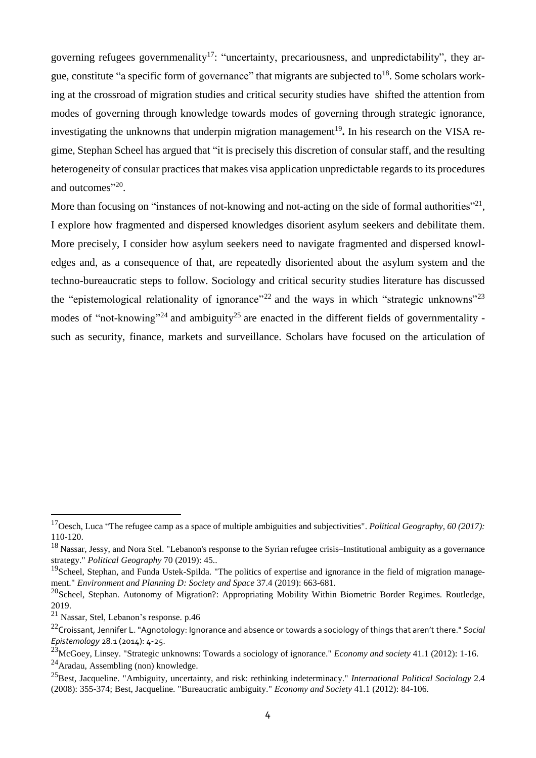governing refugees governmenality<sup>17</sup>: "uncertainty, precariousness, and unpredictability", they argue, constitute "a specific form of governance" that migrants are subjected to<sup>18</sup>. Some scholars working at the crossroad of migration studies and critical security studies have shifted the attention from modes of governing through knowledge towards modes of governing through strategic ignorance, investigating the unknowns that underpin migration management<sup>19</sup>. In his research on the VISA regime, Stephan Scheel has argued that "it is precisely this discretion of consular staff, and the resulting heterogeneity of consular practices that makes visa application unpredictable regards to its procedures and outcomes"<sup>20</sup>.

More than focusing on "instances of not-knowing and not-acting on the side of formal authorities"<sup>21</sup>, I explore how fragmented and dispersed knowledges disorient asylum seekers and debilitate them. More precisely, I consider how asylum seekers need to navigate fragmented and dispersed knowledges and, as a consequence of that, are repeatedly disoriented about the asylum system and the techno-bureaucratic steps to follow. Sociology and critical security studies literature has discussed the "epistemological relationality of ignorance"<sup>22</sup> and the ways in which "strategic unknowns"<sup>23</sup> modes of "not-knowing"<sup>24</sup> and ambiguity<sup>25</sup> are enacted in the different fields of governmentality such as security, finance, markets and surveillance. Scholars have focused on the articulation of

<sup>17</sup>Oesch, Luca "The refugee camp as a space of multiple ambiguities and subjectivities". *Political Geography*, *60 (2017):* 110-120.

<sup>&</sup>lt;sup>18</sup> Nassar, Jessy, and Nora Stel. "Lebanon's response to the Syrian refugee crisis–Institutional ambiguity as a governance strategy." *Political Geography* 70 (2019): 45..

<sup>&</sup>lt;sup>19</sup>Scheel, Stephan, and Funda Ustek-Spilda. "The politics of expertise and ignorance in the field of migration management." *Environment and Planning D: Society and Space* 37.4 (2019): 663-681.

 $^{20}$ Scheel, Stephan. Autonomy of Migration?: Appropriating Mobility Within Biometric Border Regimes. Routledge, 2019.

<sup>21</sup> Nassar, Stel, Lebanon's response. p.46

<sup>22</sup>Croissant, Jennifer L. "Agnotology: Ignorance and absence or towards a sociology of things that aren't there." *Social Epistemology* 28.1 (2014): 4-25.

<sup>23</sup>McGoey, Linsey. "Strategic unknowns: Towards a sociology of ignorance." *Economy and society* 41.1 (2012): 1-16.  $^{24}$ Aradau, Assembling (non) knowledge.

<sup>25</sup>Best, Jacqueline. "Ambiguity, uncertainty, and risk: rethinking indeterminacy." *International Political Sociology* 2.4 (2008): 355-374; Best, Jacqueline. "Bureaucratic ambiguity." *Economy and Society* 41.1 (2012): 84-106.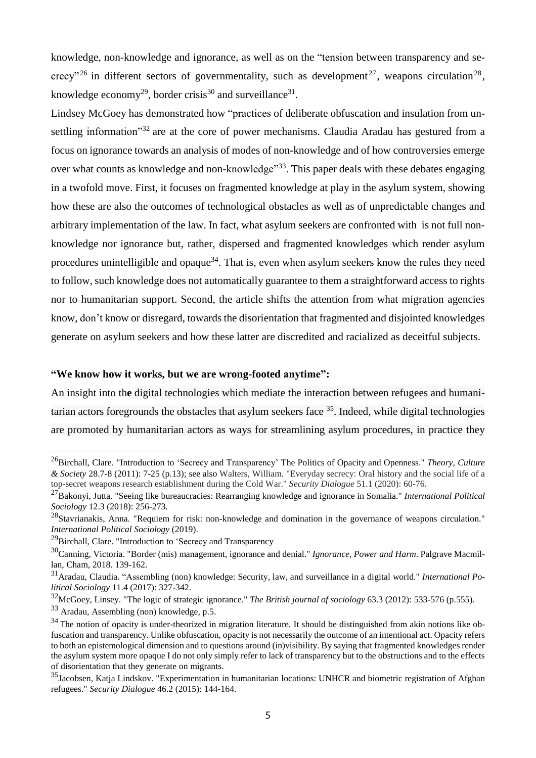knowledge, non-knowledge and ignorance, as well as on the "tension between transparency and secrecy"<sup>26</sup> in different sectors of governmentality, such as development<sup>27</sup>, weapons circulation<sup>28</sup>, knowledge economy<sup>29</sup>, border crisis<sup>30</sup> and surveillance<sup>31</sup>.

Lindsey McGoey has demonstrated how "practices of deliberate obfuscation and insulation from unsettling information"<sup>32</sup> are at the core of power mechanisms. Claudia Aradau has gestured from a focus on ignorance towards an analysis of modes of non-knowledge and of how controversies emerge over what counts as knowledge and non-knowledge"<sup>33</sup>. This paper deals with these debates engaging in a twofold move. First, it focuses on fragmented knowledge at play in the asylum system, showing how these are also the outcomes of technological obstacles as well as of unpredictable changes and arbitrary implementation of the law. In fact, what asylum seekers are confronted with is not full nonknowledge nor ignorance but, rather, dispersed and fragmented knowledges which render asylum procedures unintelligible and opaque<sup>34</sup>. That is, even when asylum seekers know the rules they need to follow, such knowledge does not automatically guarantee to them a straightforward access to rights nor to humanitarian support. Second, the article shifts the attention from what migration agencies know, don't know or disregard, towards the disorientation that fragmented and disjointed knowledges generate on asylum seekers and how these latter are discredited and racialized as deceitful subjects.

## **"We know how it works, but we are wrong-footed anytime":**

An insight into th**e** digital technologies which mediate the interaction between refugees and humanitarian actors foregrounds the obstacles that asylum seekers face <sup>35</sup>. Indeed, while digital technologies are promoted by humanitarian actors as ways for streamlining asylum procedures, in practice they

<sup>26</sup>Birchall, Clare. "Introduction to 'Secrecy and Transparency' The Politics of Opacity and Openness." *Theory, Culture & Society* 28.7-8 (2011): 7-25 (p.13); see also Walters, William. "Everyday secrecy: Oral history and the social life of a top-secret weapons research establishment during the Cold War." *Security Dialogue* 51.1 (2020): 60-76.

<sup>27</sup>Bakonyi, Jutta. "Seeing like bureaucracies: Rearranging knowledge and ignorance in Somalia." *International Political Sociology* 12.3 (2018): 256-273.

 $^{28}$ Stavrianakis, Anna. "Requiem for risk: non-knowledge and domination in the governance of weapons circulation." *International Political Sociology* (2019).

<sup>&</sup>lt;sup>29</sup>Birchall, Clare. "Introduction to 'Secrecy and Transparency

<sup>30</sup>Canning, Victoria. "Border (mis) management, ignorance and denial." *Ignorance, Power and Harm*. Palgrave Macmillan, Cham, 2018. 139-162.

<sup>31</sup>Aradau, Claudia. "Assembling (non) knowledge: Security, law, and surveillance in a digital world." *International Political Sociology* 11.4 (2017): 327-342.

<sup>32</sup>McGoey, Linsey. "The logic of strategic ignorance." *The British journal of sociology* 63.3 (2012): 533-576 (p.555). <sup>33</sup> Aradau, Assembling (non) knowledge, p.5.

 $34$  The notion of opacity is under-theorized in migration literature. It should be distinguished from akin notions like obfuscation and transparency. Unlike obfuscation, opacity is not necessarily the outcome of an intentional act. Opacity refers to both an epistemological dimension and to questions around (in)visibility. By saying that fragmented knowledges render the asylum system more opaque I do not only simply refer to lack of transparency but to the obstructions and to the effects of disorientation that they generate on migrants.

 $35$ Jacobsen, Katja Lindskov. "Experimentation in humanitarian locations: UNHCR and biometric registration of Afghan refugees." *Security Dialogue* 46.2 (2015): 144-164.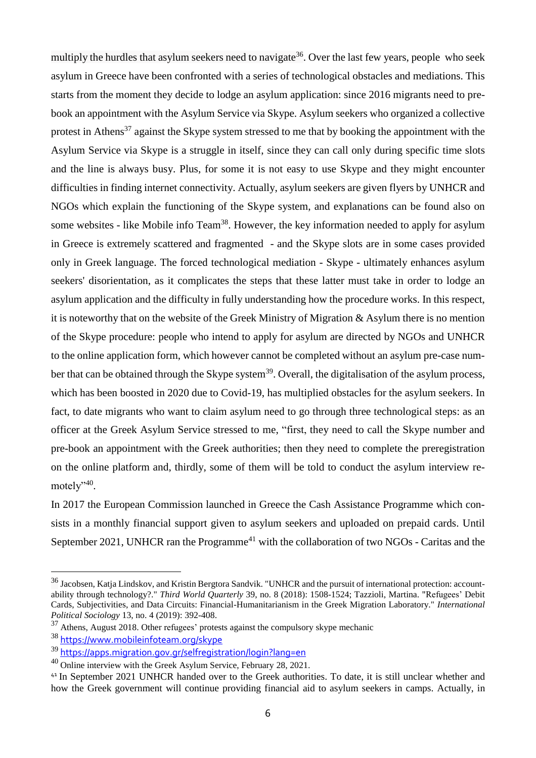multiply the hurdles that asylum seekers need to navigate $^{36}$ . Over the last few years, people who seek asylum in Greece have been confronted with a series of technological obstacles and mediations. This starts from the moment they decide to lodge an asylum application: since 2016 migrants need to prebook an appointment with the Asylum Service via Skype. Asylum seekers who organized a collective protest in Athens<sup>37</sup> against the Skype system stressed to me that by booking the appointment with the Asylum Service via Skype is a struggle in itself, since they can call only during specific time slots and the line is always busy. Plus, for some it is not easy to use Skype and they might encounter difficulties in finding internet connectivity. Actually, asylum seekers are given flyers by UNHCR and NGOs which explain the functioning of the Skype system, and explanations can be found also on some websites - like Mobile info Team<sup>38</sup>. However, the key information needed to apply for asylum in Greece is extremely scattered and fragmented - and the Skype slots are in some cases provided only in Greek language. The forced technological mediation - Skype - ultimately enhances asylum seekers' disorientation, as it complicates the steps that these latter must take in order to lodge an asylum application and the difficulty in fully understanding how the procedure works. In this respect, it is noteworthy that on the website of the Greek Ministry of Migration & Asylum there is no mention of the Skype procedure: people who intend to apply for asylum are directed by NGOs and UNHCR to the online application form, which however cannot be completed without an asylum pre-case number that can be obtained through the Skype system<sup>39</sup>. Overall, the digitalisation of the asylum process, which has been boosted in 2020 due to Covid-19, has multiplied obstacles for the asylum seekers. In fact, to date migrants who want to claim asylum need to go through three technological steps: as an officer at the Greek Asylum Service stressed to me, "first, they need to call the Skype number and pre-book an appointment with the Greek authorities; then they need to complete the preregistration on the online platform and, thirdly, some of them will be told to conduct the asylum interview remotely"<sup>40</sup>.

In 2017 the European Commission launched in Greece the Cash Assistance Programme which consists in a monthly financial support given to asylum seekers and uploaded on prepaid cards. Until September 2021, UNHCR ran the Programme<sup>41</sup> with the collaboration of two NGOs - Caritas and the

<sup>&</sup>lt;sup>36</sup> Jacobsen, Katja Lindskov, and Kristin Bergtora Sandvik. "UNHCR and the pursuit of international protection: accountability through technology?." *Third World Quarterly* 39, no. 8 (2018): 1508-1524; Tazzioli, Martina. "Refugees' Debit Cards, Subjectivities, and Data Circuits: Financial-Humanitarianism in the Greek Migration Laboratory." *International Political Sociology* 13, no. 4 (2019): 392-408.

<sup>&</sup>lt;sup>37</sup> Athens, August 2018. Other refugees' protests against the compulsory skype mechanic

<sup>38</sup> <https://www.mobileinfoteam.org/skype>

<sup>39</sup> <https://apps.migration.gov.gr/selfregistration/login?lang=en>

 $40$  Online interview with the Greek Asylum Service, February 28, 2021.

<sup>41</sup> In September 2021 UNHCR handed over to the Greek authorities. To date, it is still unclear whether and how the Greek government will continue providing financial aid to asylum seekers in camps. Actually, in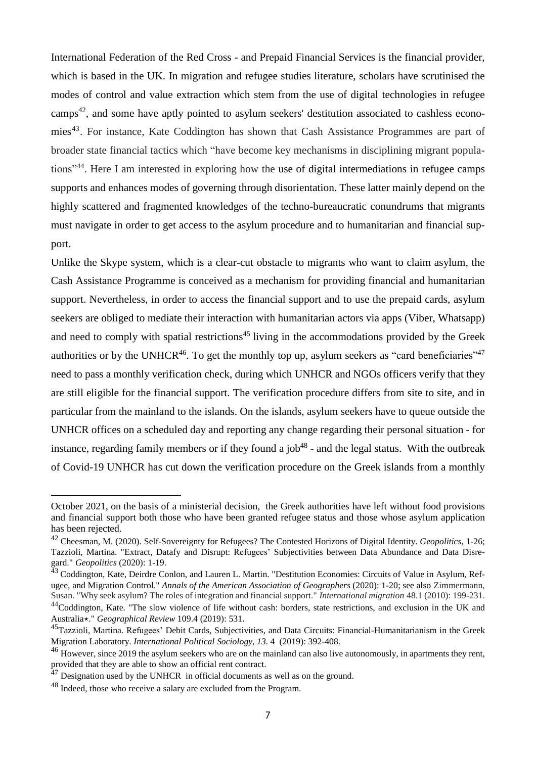International Federation of the Red Cross - and Prepaid Financial Services is the financial provider, which is based in the UK. In migration and refugee studies literature, scholars have scrutinised the modes of control and value extraction which stem from the use of digital technologies in refugee camps<sup>42</sup>, and some have aptly pointed to asylum seekers' destitution associated to cashless economies<sup>43</sup>. For instance, Kate Coddington has shown that Cash Assistance Programmes are part of broader state financial tactics which "have become key mechanisms in disciplining migrant populations"<sup>44</sup>. Here I am interested in exploring how the use of digital intermediations in refugee camps supports and enhances modes of governing through disorientation. These latter mainly depend on the highly scattered and fragmented knowledges of the techno-bureaucratic conundrums that migrants must navigate in order to get access to the asylum procedure and to humanitarian and financial support.

Unlike the Skype system, which is a clear-cut obstacle to migrants who want to claim asylum, the Cash Assistance Programme is conceived as a mechanism for providing financial and humanitarian support. Nevertheless, in order to access the financial support and to use the prepaid cards, asylum seekers are obliged to mediate their interaction with humanitarian actors via apps (Viber, Whatsapp) and need to comply with spatial restrictions<sup>45</sup> living in the accommodations provided by the Greek authorities or by the UNHCR<sup>46</sup>. To get the monthly top up, asylum seekers as "card beneficiaries"<sup>47</sup> need to pass a monthly verification check, during which UNHCR and NGOs officers verify that they are still eligible for the financial support. The verification procedure differs from site to site, and in particular from the mainland to the islands. On the islands, asylum seekers have to queue outside the UNHCR offices on a scheduled day and reporting any change regarding their personal situation - for instance, regarding family members or if they found a job<sup>48</sup> - and the legal status. With the outbreak of Covid-19 UNHCR has cut down the verification procedure on the Greek islands from a monthly

Australia⋆." *Geographical Review* 109.4 (2019): 531.

October 2021, on the basis of a ministerial decision, the Greek authorities have left without food provisions and financial support both those who have been granted refugee status and those whose asylum application has been rejected.

<sup>42</sup> Cheesman, M. (2020). Self-Sovereignty for Refugees? The Contested Horizons of Digital Identity. *Geopolitics*, 1-26; Tazzioli, Martina. "Extract, Datafy and Disrupt: Refugees' Subjectivities between Data Abundance and Data Disregard." *Geopolitics* (2020): 1-19.

<sup>&</sup>lt;sup>43</sup> Coddington, Kate, Deirdre Conlon, and Lauren L. Martin. "Destitution Economies: Circuits of Value in Asylum, Refugee, and Migration Control." *Annals of the American Association of Geographers* (2020): 1-20; see also Zimmermann, Susan. "Why seek asylum? The roles of integration and financial support." *International migration* 48.1 (2010): 199-231. <sup>44</sup>Coddington, Kate. "The slow violence of life without cash: borders, state restrictions, and exclusion in the UK and

<sup>&</sup>lt;sup>45</sup>Tazzioli, Martina. Refugees' Debit Cards, Subjectivities, and Data Circuits: Financial-Humanitarianism in the Greek Migration Laboratory. *International Political Sociology*, *13.* 4 (2019): 392-408.

<sup>&</sup>lt;sup>46</sup> However, since 2019 the asylum seekers who are on the mainland can also live autonomously, in apartments they rent, provided that they are able to show an official rent contract.

<sup>&</sup>lt;sup>47</sup> Designation used by the UNHCR in official documents as well as on the ground.

<sup>&</sup>lt;sup>48</sup> Indeed, those who receive a salary are excluded from the Program.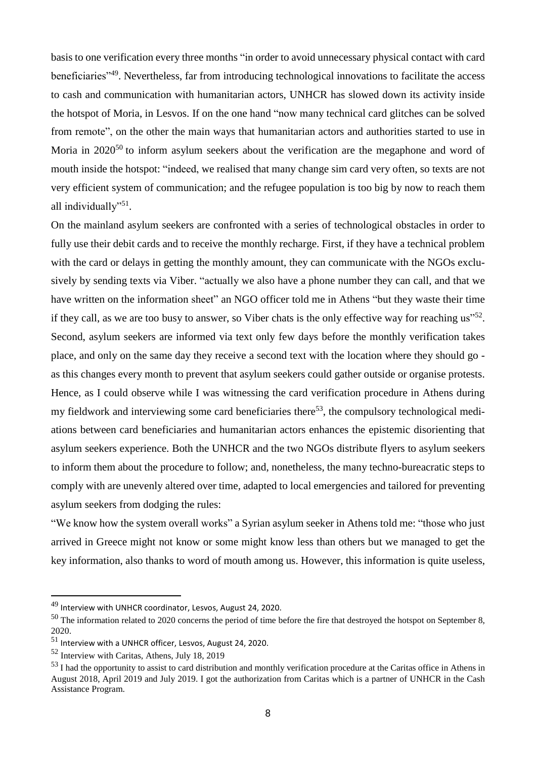basis to one verification every three months "in order to avoid unnecessary physical contact with card beneficiaries"<sup>49</sup>. Nevertheless, far from introducing technological innovations to facilitate the access to cash and communication with humanitarian actors, UNHCR has slowed down its activity inside the hotspot of Moria, in Lesvos. If on the one hand "now many technical card glitches can be solved from remote", on the other the main ways that humanitarian actors and authorities started to use in Moria in  $2020^{50}$  to inform asylum seekers about the verification are the megaphone and word of mouth inside the hotspot: "indeed, we realised that many change sim card very often, so texts are not very efficient system of communication; and the refugee population is too big by now to reach them all individually"<sup>51</sup>.

On the mainland asylum seekers are confronted with a series of technological obstacles in order to fully use their debit cards and to receive the monthly recharge. First, if they have a technical problem with the card or delays in getting the monthly amount, they can communicate with the NGOs exclusively by sending texts via Viber. "actually we also have a phone number they can call, and that we have written on the information sheet" an NGO officer told me in Athens "but they waste their time if they call, as we are too busy to answer, so Viber chats is the only effective way for reaching  $us''^{52}$ . Second, asylum seekers are informed via text only few days before the monthly verification takes place, and only on the same day they receive a second text with the location where they should go as this changes every month to prevent that asylum seekers could gather outside or organise protests. Hence, as I could observe while I was witnessing the card verification procedure in Athens during my fieldwork and interviewing some card beneficiaries there<sup>53</sup>, the compulsory technological mediations between card beneficiaries and humanitarian actors enhances the epistemic disorienting that asylum seekers experience. Both the UNHCR and the two NGOs distribute flyers to asylum seekers to inform them about the procedure to follow; and, nonetheless, the many techno-bureacratic steps to comply with are unevenly altered over time, adapted to local emergencies and tailored for preventing asylum seekers from dodging the rules:

"We know how the system overall works" a Syrian asylum seeker in Athens told me: "those who just arrived in Greece might not know or some might know less than others but we managed to get the key information, also thanks to word of mouth among us. However, this information is quite useless,

<sup>49</sup> Interview with UNHCR coordinator, Lesvos, August 24, 2020.

 $50$  The information related to 2020 concerns the period of time before the fire that destroyed the hotspot on September 8, 2020.

<sup>51</sup> Interview with a UNHCR officer, Lesvos, August 24, 2020.

<sup>52</sup> Interview with Caritas, Athens, July 18, 2019

<sup>&</sup>lt;sup>53</sup> I had the opportunity to assist to card distribution and monthly verification procedure at the Caritas office in Athens in August 2018, April 2019 and July 2019. I got the authorization from Caritas which is a partner of UNHCR in the Cash Assistance Program.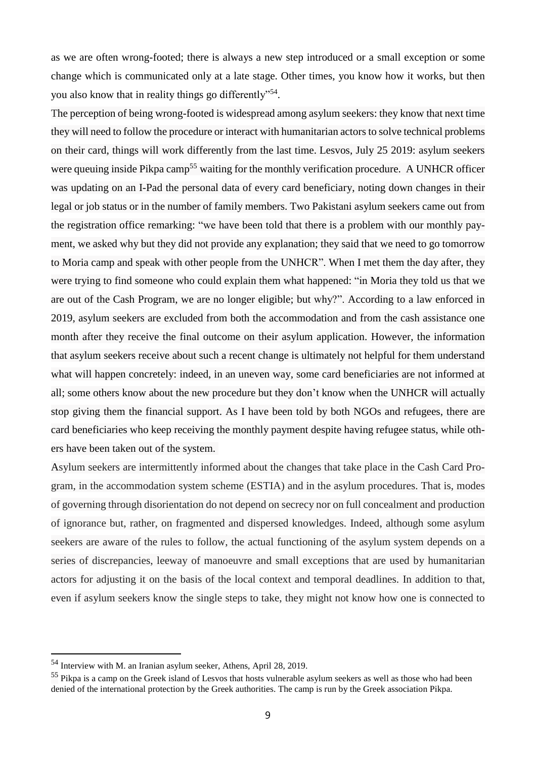as we are often wrong-footed; there is always a new step introduced or a small exception or some change which is communicated only at a late stage. Other times, you know how it works, but then you also know that in reality things go differently"<sup>54</sup>.

The perception of being wrong-footed is widespread among asylum seekers: they know that next time they will need to follow the procedure or interact with humanitarian actors to solve technical problems on their card, things will work differently from the last time. Lesvos, July 25 2019: asylum seekers were queuing inside Pikpa camp<sup>55</sup> waiting for the monthly verification procedure. A UNHCR officer was updating on an I-Pad the personal data of every card beneficiary, noting down changes in their legal or job status or in the number of family members. Two Pakistani asylum seekers came out from the registration office remarking: "we have been told that there is a problem with our monthly payment, we asked why but they did not provide any explanation; they said that we need to go tomorrow to Moria camp and speak with other people from the UNHCR". When I met them the day after, they were trying to find someone who could explain them what happened: "in Moria they told us that we are out of the Cash Program, we are no longer eligible; but why?". According to a law enforced in 2019, asylum seekers are excluded from both the accommodation and from the cash assistance one month after they receive the final outcome on their asylum application. However, the information that asylum seekers receive about such a recent change is ultimately not helpful for them understand what will happen concretely: indeed, in an uneven way, some card beneficiaries are not informed at all; some others know about the new procedure but they don't know when the UNHCR will actually stop giving them the financial support. As I have been told by both NGOs and refugees, there are card beneficiaries who keep receiving the monthly payment despite having refugee status, while others have been taken out of the system.

Asylum seekers are intermittently informed about the changes that take place in the Cash Card Program, in the accommodation system scheme (ESTIA) and in the asylum procedures. That is, modes of governing through disorientation do not depend on secrecy nor on full concealment and production of ignorance but, rather, on fragmented and dispersed knowledges. Indeed, although some asylum seekers are aware of the rules to follow, the actual functioning of the asylum system depends on a series of discrepancies, leeway of manoeuvre and small exceptions that are used by humanitarian actors for adjusting it on the basis of the local context and temporal deadlines. In addition to that, even if asylum seekers know the single steps to take, they might not know how one is connected to

<sup>54</sup> Interview with M. an Iranian asylum seeker, Athens, April 28, 2019.

<sup>55</sup> Pikpa is a camp on the Greek island of Lesvos that hosts vulnerable asylum seekers as well as those who had been denied of the international protection by the Greek authorities. The camp is run by the Greek association Pikpa.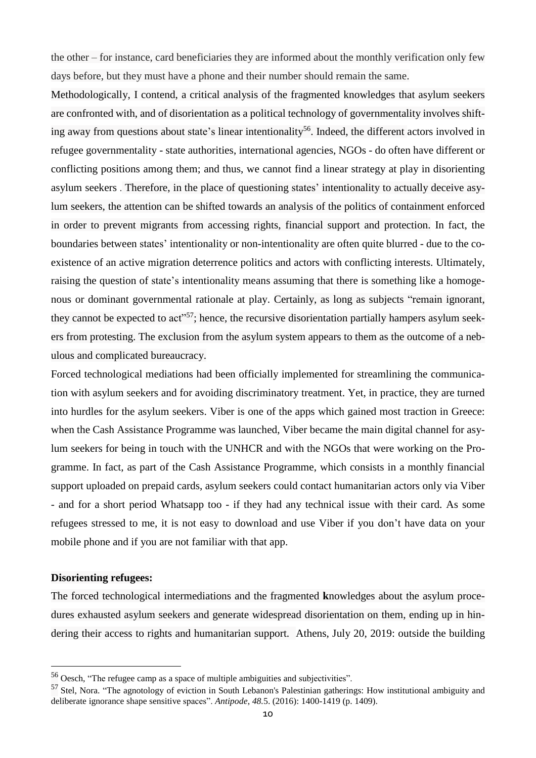the other – for instance, card beneficiaries they are informed about the monthly verification only few days before, but they must have a phone and their number should remain the same.

Methodologically, I contend, a critical analysis of the fragmented knowledges that asylum seekers are confronted with, and of disorientation as a political technology of governmentality involves shifting away from questions about state's linear intentionality<sup>56</sup>. Indeed, the different actors involved in refugee governmentality - state authorities, international agencies, NGOs - do often have different or conflicting positions among them; and thus, we cannot find a linear strategy at play in disorienting asylum seekers . Therefore, in the place of questioning states' intentionality to actually deceive asylum seekers, the attention can be shifted towards an analysis of the politics of containment enforced in order to prevent migrants from accessing rights, financial support and protection. In fact, the boundaries between states' intentionality or non-intentionality are often quite blurred - due to the coexistence of an active migration deterrence politics and actors with conflicting interests. Ultimately, raising the question of state's intentionality means assuming that there is something like a homogenous or dominant governmental rationale at play. Certainly, as long as subjects "remain ignorant, they cannot be expected to act<sup>357</sup>; hence, the recursive disorientation partially hampers asylum seekers from protesting. The exclusion from the asylum system appears to them as the outcome of a nebulous and complicated bureaucracy.

Forced technological mediations had been officially implemented for streamlining the communication with asylum seekers and for avoiding discriminatory treatment. Yet, in practice, they are turned into hurdles for the asylum seekers. Viber is one of the apps which gained most traction in Greece: when the Cash Assistance Programme was launched, Viber became the main digital channel for asylum seekers for being in touch with the UNHCR and with the NGOs that were working on the Programme. In fact, as part of the Cash Assistance Programme, which consists in a monthly financial support uploaded on prepaid cards, asylum seekers could contact humanitarian actors only via Viber - and for a short period Whatsapp too - if they had any technical issue with their card. As some refugees stressed to me, it is not easy to download and use Viber if you don't have data on your mobile phone and if you are not familiar with that app.

#### **Disorienting refugees:**

 $\overline{a}$ 

The forced technological intermediations and the fragmented **k**nowledges about the asylum procedures exhausted asylum seekers and generate widespread disorientation on them, ending up in hindering their access to rights and humanitarian support. Athens, July 20, 2019: outside the building

<sup>56</sup> Oesch, "The refugee camp as a space of multiple ambiguities and subjectivities".

<sup>&</sup>lt;sup>57</sup> Stel, Nora. "The agnotology of eviction in South Lebanon's Palestinian gatherings: How institutional ambiguity and deliberate ignorance shape sensitive spaces". *Antipode*, *48.*5. (2016): 1400-1419 (p. 1409).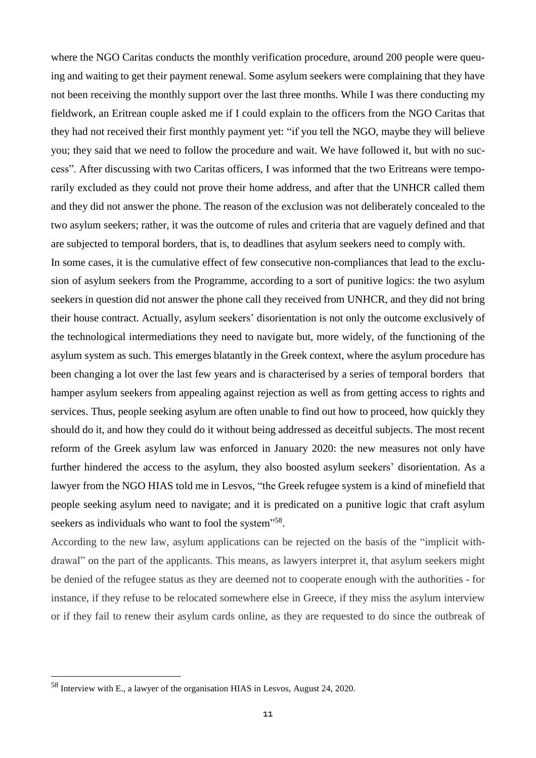where the NGO Caritas conducts the monthly verification procedure, around 200 people were queuing and waiting to get their payment renewal. Some asylum seekers were complaining that they have not been receiving the monthly support over the last three months. While I was there conducting my fieldwork, an Eritrean couple asked me if I could explain to the officers from the NGO Caritas that they had not received their first monthly payment yet: "if you tell the NGO, maybe they will believe you; they said that we need to follow the procedure and wait. We have followed it, but with no success". After discussing with two Caritas officers, I was informed that the two Eritreans were temporarily excluded as they could not prove their home address, and after that the UNHCR called them and they did not answer the phone. The reason of the exclusion was not deliberately concealed to the two asylum seekers; rather, it was the outcome of rules and criteria that are vaguely defined and that are subjected to temporal borders, that is, to deadlines that asylum seekers need to comply with.

In some cases, it is the cumulative effect of few consecutive non-compliances that lead to the exclusion of asylum seekers from the Programme, according to a sort of punitive logics: the two asylum seekers in question did not answer the phone call they received from UNHCR, and they did not bring their house contract. Actually, asylum seekers' disorientation is not only the outcome exclusively of the technological intermediations they need to navigate but, more widely, of the functioning of the asylum system as such. This emerges blatantly in the Greek context, where the asylum procedure has been changing a lot over the last few years and is characterised by a series of temporal borders that hamper asylum seekers from appealing against rejection as well as from getting access to rights and services. Thus, people seeking asylum are often unable to find out how to proceed, how quickly they should do it, and how they could do it without being addressed as deceitful subjects. The most recent reform of the Greek asylum law was enforced in January 2020: the new measures not only have further hindered the access to the asylum, they also boosted asylum seekers' disorientation. As a lawyer from the NGO HIAS told me in Lesvos, "the Greek refugee system is a kind of minefield that people seeking asylum need to navigate; and it is predicated on a punitive logic that craft asylum seekers as individuals who want to fool the system"<sup>58</sup>.

According to the new law, asylum applications can be rejected on the basis of the "implicit withdrawal" on the part of the applicants. This means, as lawyers interpret it, that asylum seekers might be denied of the refugee status as they are deemed not to cooperate enough with the authorities - for instance, if they refuse to be relocated somewhere else in Greece, if they miss the asylum interview or if they fail to renew their asylum cards online, as they are requested to do since the outbreak of

 $58$  Interview with E., a lawyer of the organisation HIAS in Lesvos, August 24, 2020.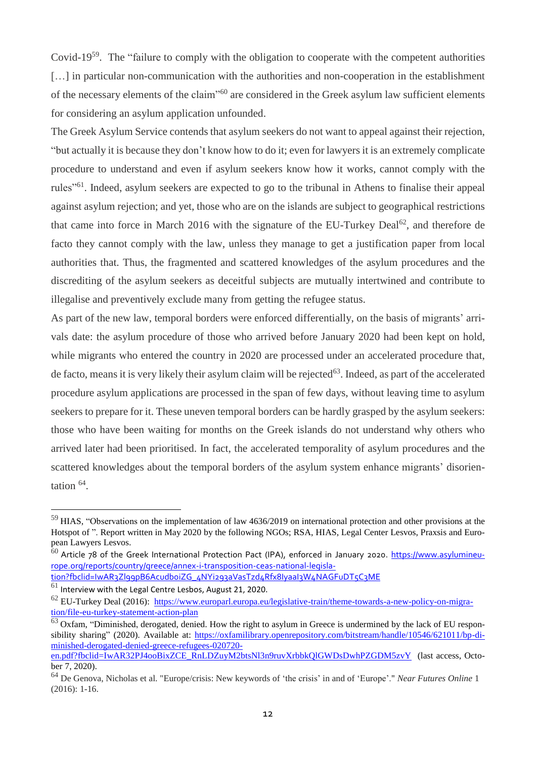Covid-19<sup>59</sup>. The "failure to comply with the obligation to cooperate with the competent authorities [...] in particular non-communication with the authorities and non-cooperation in the establishment of the necessary elements of the claim"<sup>60</sup> are considered in the Greek asylum law sufficient elements for considering an asylum application unfounded.

The Greek Asylum Service contends that asylum seekers do not want to appeal against their rejection, "but actually it is because they don't know how to do it; even for lawyers it is an extremely complicate procedure to understand and even if asylum seekers know how it works, cannot comply with the rules"<sup>61</sup>. Indeed, asylum seekers are expected to go to the tribunal in Athens to finalise their appeal against asylum rejection; and yet, those who are on the islands are subject to geographical restrictions that came into force in March 2016 with the signature of the EU-Turkey Deal<sup>62</sup>, and therefore de facto they cannot comply with the law, unless they manage to get a justification paper from local authorities that. Thus, the fragmented and scattered knowledges of the asylum procedures and the discrediting of the asylum seekers as deceitful subjects are mutually intertwined and contribute to illegalise and preventively exclude many from getting the refugee status.

As part of the new law, temporal borders were enforced differentially, on the basis of migrants' arrivals date: the asylum procedure of those who arrived before January 2020 had been kept on hold, while migrants who entered the country in 2020 are processed under an accelerated procedure that, de facto, means it is very likely their asylum claim will be rejected<sup>63</sup>. Indeed, as part of the accelerated procedure asylum applications are processed in the span of few days, without leaving time to asylum seekers to prepare for it. These uneven temporal borders can be hardly grasped by the asylum seekers: those who have been waiting for months on the Greek islands do not understand why others who arrived later had been prioritised. In fact, the accelerated temporality of asylum procedures and the scattered knowledges about the temporal borders of the asylum system enhance migrants' disorientation <sup>64</sup> .

<sup>59</sup> HIAS, "Observations on the implementation of law 4636/2019 on international protection and other provisions at the Hotspot of ". Report written in May 2020 by the following NGOs; RSA, HIAS, Legal Center Lesvos, Praxsis and European Lawyers Lesvos.

 $^{60}$  Article 78 of the Greek International Protection Pact (IPA), enforced in January 2020. [https://www.asylumineu](https://www.asylumineurope.org/reports/country/greece/annex-i-transposition-ceas-national-legislation?fbclid=IwAR3Zl99pB6Acudb0iZG_4NYi293aVasTzd4Rfx8IyaaI3W4NAGFuDT5C3ME)[rope.org/reports/country/greece/annex-i-transposition-ceas-national-legisla-](https://www.asylumineurope.org/reports/country/greece/annex-i-transposition-ceas-national-legislation?fbclid=IwAR3Zl99pB6Acudb0iZG_4NYi293aVasTzd4Rfx8IyaaI3W4NAGFuDT5C3ME)

[tion?fbclid=IwAR3Zl99pB6Acudb0iZG\\_4NYi293aVasTzd4Rfx8IyaaI3W4NAGFuDT5C3ME](https://www.asylumineurope.org/reports/country/greece/annex-i-transposition-ceas-national-legislation?fbclid=IwAR3Zl99pB6Acudb0iZG_4NYi293aVasTzd4Rfx8IyaaI3W4NAGFuDT5C3ME)

 $61$  Interview with the Legal Centre Lesbos, August 21, 2020.

 $^{62}$  EU-Turkey Deal (2016): [https://www.europarl.europa.eu/legislative-train/theme-towards-a-new-policy-on-migra](https://www.europarl.europa.eu/legislative-train/theme-towards-a-new-policy-on-migration/file-eu-turkey-statement-action-plan)[tion/file-eu-turkey-statement-action-plan](https://www.europarl.europa.eu/legislative-train/theme-towards-a-new-policy-on-migration/file-eu-turkey-statement-action-plan)

 $63$  Oxfam, "Diminished, derogated, denied. How the right to asylum in Greece is undermined by the lack of EU responsibility sharing" (2020). Available at: [https://oxfamilibrary.openrepository.com/bitstream/handle/10546/621011/bp-di](https://oxfamilibrary.openrepository.com/bitstream/handle/10546/621011/bp-diminished-derogated-denied-greece-refugees-020720-en.pdf?fbclid=IwAR32PJ4ooBixZCE_RnLDZuyM2btsNl3n9ruvXrbbkQlGWDsDwhPZGDM5zvY)[minished-derogated-denied-greece-refugees-020720](https://oxfamilibrary.openrepository.com/bitstream/handle/10546/621011/bp-diminished-derogated-denied-greece-refugees-020720-en.pdf?fbclid=IwAR32PJ4ooBixZCE_RnLDZuyM2btsNl3n9ruvXrbbkQlGWDsDwhPZGDM5zvY) [en.pdf?fbclid=IwAR32PJ4ooBixZCE\\_RnLDZuyM2btsNl3n9ruvXrbbkQlGWDsDwhPZGDM5zvY](https://oxfamilibrary.openrepository.com/bitstream/handle/10546/621011/bp-diminished-derogated-denied-greece-refugees-020720-en.pdf?fbclid=IwAR32PJ4ooBixZCE_RnLDZuyM2btsNl3n9ruvXrbbkQlGWDsDwhPZGDM5zvY) (last access, Octo-

ber 7, 2020).

<sup>64</sup> De Genova, Nicholas et al. "Europe/crisis: New keywords of 'the crisis' in and of 'Europe'." *Near Futures Online* 1 (2016): 1-16.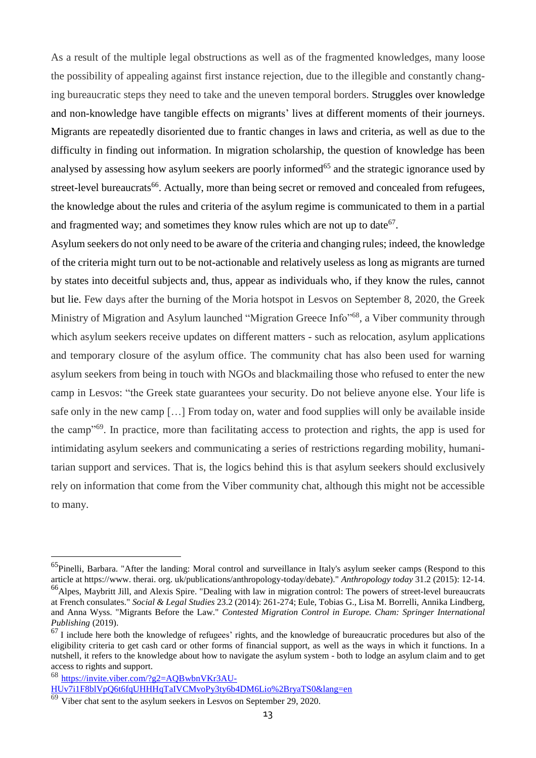As a result of the multiple legal obstructions as well as of the fragmented knowledges, many loose the possibility of appealing against first instance rejection, due to the illegible and constantly changing bureaucratic steps they need to take and the uneven temporal borders. Struggles over knowledge and non-knowledge have tangible effects on migrants' lives at different moments of their journeys. Migrants are repeatedly disoriented due to frantic changes in laws and criteria, as well as due to the difficulty in finding out information. In migration scholarship, the question of knowledge has been analysed by assessing how asylum seekers are poorly informed<sup>65</sup> and the strategic ignorance used by street-level bureaucrats<sup>66</sup>. Actually, more than being secret or removed and concealed from refugees, the knowledge about the rules and criteria of the asylum regime is communicated to them in a partial and fragmented way; and sometimes they know rules which are not up to date<sup>67</sup>.

Asylum seekers do not only need to be aware of the criteria and changing rules; indeed, the knowledge of the criteria might turn out to be not-actionable and relatively useless as long as migrants are turned by states into deceitful subjects and, thus, appear as individuals who, if they know the rules, cannot but lie. Few days after the burning of the Moria hotspot in Lesvos on September 8, 2020, the Greek Ministry of Migration and Asylum launched "Migration Greece Info"<sup>68</sup>, a Viber community through which asylum seekers receive updates on different matters - such as relocation, asylum applications and temporary closure of the asylum office. The community chat has also been used for warning asylum seekers from being in touch with NGOs and blackmailing those who refused to enter the new camp in Lesvos: "the Greek state guarantees your security. Do not believe anyone else. Your life is safe only in the new camp […] From today on, water and food supplies will only be available inside the camp"<sup>69</sup>. In practice, more than facilitating access to protection and rights, the app is used for intimidating asylum seekers and communicating a series of restrictions regarding mobility, humanitarian support and services. That is, the logics behind this is that asylum seekers should exclusively rely on information that come from the Viber community chat, although this might not be accessible to many.

 $<sup>65</sup>$ Pinelli, Barbara. "After the landing: Moral control and surveillance in Italy's asylum seeker camps (Respond to this</sup> article at https://www. therai. org. uk/publications/anthropology-today/debate)." *Anthropology today* 31.2 (2015): 12-14.

<sup>&</sup>lt;sup>66</sup>Alpes, Maybritt Jill, and Alexis Spire. "Dealing with law in migration control: The powers of street-level bureaucrats at French consulates." *Social & Legal Studies* 23.2 (2014): 261-274; Eule, Tobias G., Lisa M. Borrelli, Annika Lindberg, and Anna Wyss. "Migrants Before the Law." *Contested Migration Control in Europe. Cham: Springer International Publishing* (2019).

 $67$  I include here both the knowledge of refugees' rights, and the knowledge of bureaucratic procedures but also of the eligibility criteria to get cash card or other forms of financial support, as well as the ways in which it functions. In a nutshell, it refers to the knowledge about how to navigate the asylum system - both to lodge an asylum claim and to get access to rights and support.

<sup>68</sup> [https://invite.viber.com/?g2=AQBwbnVKr3AU-](https://invite.viber.com/?g2=AQBwbnVKr3AUHUv7i1F8blVpQ6t6fqUHHHqTaIVCMvoPy3ty6b4DM6Lio%252525252525252BryaTS0&lang=en)

[HUv7i1F8blVpQ6t6fqUHHHqTaIVCMvoPy3ty6b4DM6Lio%2BryaTS0&lang=en](https://invite.viber.com/?g2=AQBwbnVKr3AUHUv7i1F8blVpQ6t6fqUHHHqTaIVCMvoPy3ty6b4DM6Lio%252525252525252BryaTS0&lang=en)

 $69$  Viber chat sent to the asylum seekers in Lesvos on September 29, 2020.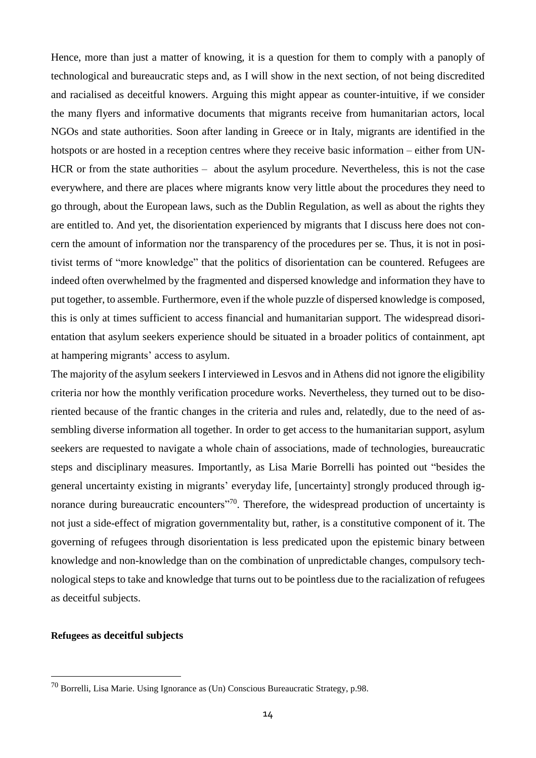Hence, more than just a matter of knowing, it is a question for them to comply with a panoply of technological and bureaucratic steps and, as I will show in the next section, of not being discredited and racialised as deceitful knowers. Arguing this might appear as counter-intuitive, if we consider the many flyers and informative documents that migrants receive from humanitarian actors, local NGOs and state authorities. Soon after landing in Greece or in Italy, migrants are identified in the hotspots or are hosted in a reception centres where they receive basic information – either from UN-HCR or from the state authorities – about the asylum procedure. Nevertheless, this is not the case everywhere, and there are places where migrants know very little about the procedures they need to go through, about the European laws, such as the Dublin Regulation, as well as about the rights they are entitled to. And yet, the disorientation experienced by migrants that I discuss here does not concern the amount of information nor the transparency of the procedures per se. Thus, it is not in positivist terms of "more knowledge" that the politics of disorientation can be countered. Refugees are indeed often overwhelmed by the fragmented and dispersed knowledge and information they have to put together, to assemble. Furthermore, even if the whole puzzle of dispersed knowledge is composed, this is only at times sufficient to access financial and humanitarian support. The widespread disorientation that asylum seekers experience should be situated in a broader politics of containment, apt at hampering migrants' access to asylum.

The majority of the asylum seekers I interviewed in Lesvos and in Athens did not ignore the eligibility criteria nor how the monthly verification procedure works. Nevertheless, they turned out to be disoriented because of the frantic changes in the criteria and rules and, relatedly, due to the need of assembling diverse information all together. In order to get access to the humanitarian support, asylum seekers are requested to navigate a whole chain of associations, made of technologies, bureaucratic steps and disciplinary measures. Importantly, as Lisa Marie Borrelli has pointed out "besides the general uncertainty existing in migrants' everyday life, [uncertainty] strongly produced through ignorance during bureaucratic encounters"<sup>70</sup>. Therefore, the widespread production of uncertainty is not just a side-effect of migration governmentality but, rather, is a constitutive component of it. The governing of refugees through disorientation is less predicated upon the epistemic binary between knowledge and non-knowledge than on the combination of unpredictable changes, compulsory technological steps to take and knowledge that turns out to be pointless due to the racialization of refugees as deceitful subjects.

## **Refugees as deceitful subjects**

 $^{70}$  Borrelli, Lisa Marie. Using Ignorance as (Un) Conscious Bureaucratic Strategy, p.98.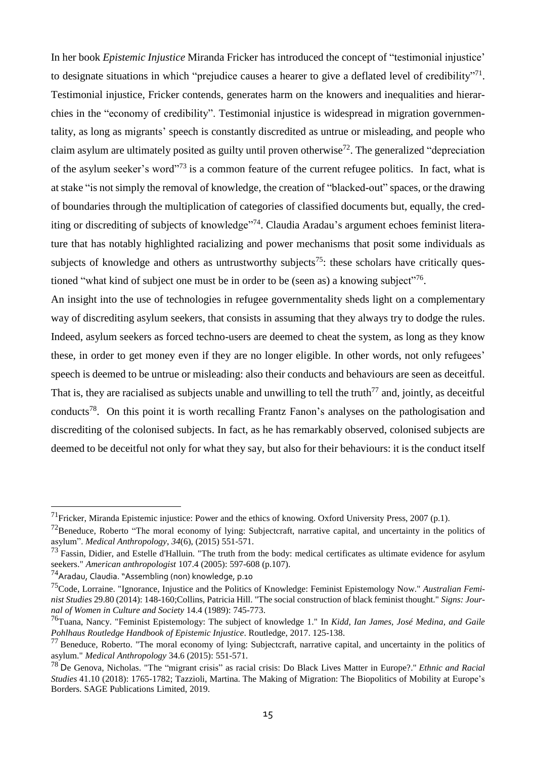In her book *Epistemic Injustice* Miranda Fricker has introduced the concept of "testimonial injustice' to designate situations in which "prejudice causes a hearer to give a deflated level of credibility"<sup>71</sup>. Testimonial injustice, Fricker contends, generates harm on the knowers and inequalities and hierarchies in the "economy of credibility". Testimonial injustice is widespread in migration governmentality, as long as migrants' speech is constantly discredited as untrue or misleading, and people who claim asylum are ultimately posited as guilty until proven otherwise<sup>72</sup>. The generalized "depreciation of the asylum seeker's word"<sup>73</sup> is a common feature of the current refugee politics. In fact, what is at stake "is not simply the removal of knowledge, the creation of "blacked-out" spaces, or the drawing of boundaries through the multiplication of categories of classified documents but, equally, the crediting or discrediting of subjects of knowledge"<sup>74</sup>. Claudia Aradau's argument echoes feminist literature that has notably highlighted racializing and power mechanisms that posit some individuals as subjects of knowledge and others as untrustworthy subjects<sup>75</sup>: these scholars have critically questioned "what kind of subject one must be in order to be (seen as) a knowing subject"<sup>76</sup>.

An insight into the use of technologies in refugee governmentality sheds light on a complementary way of discrediting asylum seekers, that consists in assuming that they always try to dodge the rules. Indeed, asylum seekers as forced techno-users are deemed to cheat the system, as long as they know these, in order to get money even if they are no longer eligible. In other words, not only refugees' speech is deemed to be untrue or misleading: also their conducts and behaviours are seen as deceitful. That is, they are racialised as subjects unable and unwilling to tell the truth<sup>77</sup> and, jointly, as deceitful conducts<sup>78</sup>. On this point it is worth recalling Frantz Fanon's analyses on the pathologisation and discrediting of the colonised subjects. In fact, as he has remarkably observed, colonised subjects are deemed to be deceitful not only for what they say, but also for their behaviours: it is the conduct itself

<sup>&</sup>lt;sup>71</sup>Fricker, Miranda Epistemic injustice: Power and the ethics of knowing. Oxford University Press, 2007 (p.1).

<sup>&</sup>lt;sup>72</sup>Beneduce, Roberto "The moral economy of lying: Subjectcraft, narrative capital, and uncertainty in the politics of asylum". *Medical Anthropology*, *34*(6), (2015) 551-571.

 $73$  Fassin, Didier, and Estelle d'Halluin. "The truth from the body: medical certificates as ultimate evidence for asylum seekers." *American anthropologist* 107.4 (2005): 597-608 (p.107).

 $^{74}$ Aradau, Claudia. "Assembling (non) knowledge, p.10

<sup>75</sup>Code, Lorraine. "Ignorance, Injustice and the Politics of Knowledge: Feminist Epistemology Now." *Australian Feminist Studies* 29.80 (2014): 148-160;Collins, Patricia Hill. "The social construction of black feminist thought." *Signs: Journal of Women in Culture and Society* 14.4 (1989): 745-773.

<sup>76</sup>Tuana, Nancy. "Feminist Epistemology: The subject of knowledge 1." In *Kidd, Ian James, José Medina, and Gaile Pohlhaus Routledge Handbook of Epistemic Injustice*. Routledge, 2017. 125-138.

 $77$  Beneduce, Roberto. "The moral economy of lying: Subjectcraft, narrative capital, and uncertainty in the politics of asylum." *Medical Anthropology* 34.6 (2015): 551-571.

<sup>78</sup> De Genova, Nicholas. "The "migrant crisis" as racial crisis: Do Black Lives Matter in Europe?." *Ethnic and Racial Studies* 41.10 (2018): 1765-1782; Tazzioli, Martina. The Making of Migration: The Biopolitics of Mobility at Europe's Borders. SAGE Publications Limited, 2019.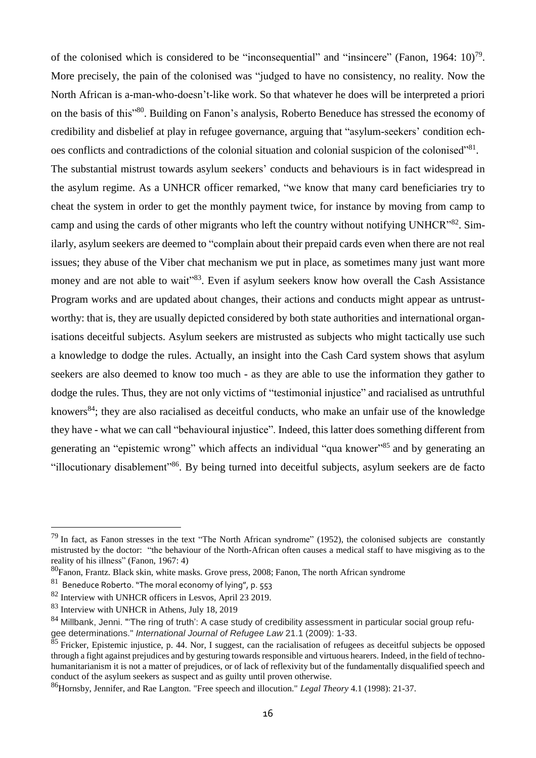of the colonised which is considered to be "inconsequential" and "insincere" (Fanon, 1964:  $10<sup>79</sup>$ . More precisely, the pain of the colonised was "judged to have no consistency, no reality. Now the North African is a-man-who-doesn't-like work. So that whatever he does will be interpreted a priori on the basis of this"<sup>80</sup>. Building on Fanon's analysis, Roberto Beneduce has stressed the economy of credibility and disbelief at play in refugee governance, arguing that "asylum-seekers' condition echoes conflicts and contradictions of the colonial situation and colonial suspicion of the colonised"<sup>81</sup>.

The substantial mistrust towards asylum seekers' conducts and behaviours is in fact widespread in the asylum regime. As a UNHCR officer remarked, "we know that many card beneficiaries try to cheat the system in order to get the monthly payment twice, for instance by moving from camp to camp and using the cards of other migrants who left the country without notifying UNHCR"<sup>82</sup>. Similarly, asylum seekers are deemed to "complain about their prepaid cards even when there are not real issues; they abuse of the Viber chat mechanism we put in place, as sometimes many just want more money and are not able to wait"<sup>83</sup>. Even if asylum seekers know how overall the Cash Assistance Program works and are updated about changes, their actions and conducts might appear as untrustworthy: that is, they are usually depicted considered by both state authorities and international organisations deceitful subjects. Asylum seekers are mistrusted as subjects who might tactically use such a knowledge to dodge the rules. Actually, an insight into the Cash Card system shows that asylum seekers are also deemed to know too much - as they are able to use the information they gather to dodge the rules. Thus, they are not only victims of "testimonial injustice" and racialised as untruthful knowers<sup>84</sup>; they are also racialised as deceitful conducts, who make an unfair use of the knowledge they have - what we can call "behavioural injustice". Indeed, this latter does something different from generating an "epistemic wrong" which affects an individual "qua knower"<sup>85</sup> and by generating an "illocutionary disablement"<sup>86</sup>. By being turned into deceitful subjects, asylum seekers are de facto

 $79$  In fact, as Fanon stresses in the text "The North African syndrome" (1952), the colonised subjects are constantly mistrusted by the doctor: "the behaviour of the North-African often causes a medical staff to have misgiving as to the reality of his illness" (Fanon, 1967: 4)

<sup>&</sup>lt;sup>80</sup>Fanon, Frantz. Black skin, white masks. Grove press, 2008; Fanon, The north African syndrome

 $^{\rm 81}$  Beneduce Roberto. "The moral economy of lying", p. 553

<sup>82</sup> Interview with UNHCR officers in Lesvos, April 23 2019.

<sup>83</sup> Interview with UNHCR in Athens, July 18, 2019

<sup>84</sup> Millbank, Jenni. "The ring of truth': A case study of credibility assessment in particular social group refugee determinations." *International Journal of Refugee Law* 21.1 (2009): 1-33.

 $85$  Fricker, Epistemic injustice, p. 44. Nor, I suggest, can the racialisation of refugees as deceitful subjects be opposed through a fight against prejudices and by gesturing towards responsible and virtuous hearers. Indeed, in the field of technohumanitarianism it is not a matter of prejudices, or of lack of reflexivity but of the fundamentally disqualified speech and conduct of the asylum seekers as suspect and as guilty until proven otherwise.

<sup>86</sup>Hornsby, Jennifer, and Rae Langton. "Free speech and illocution." *Legal Theory* 4.1 (1998): 21-37.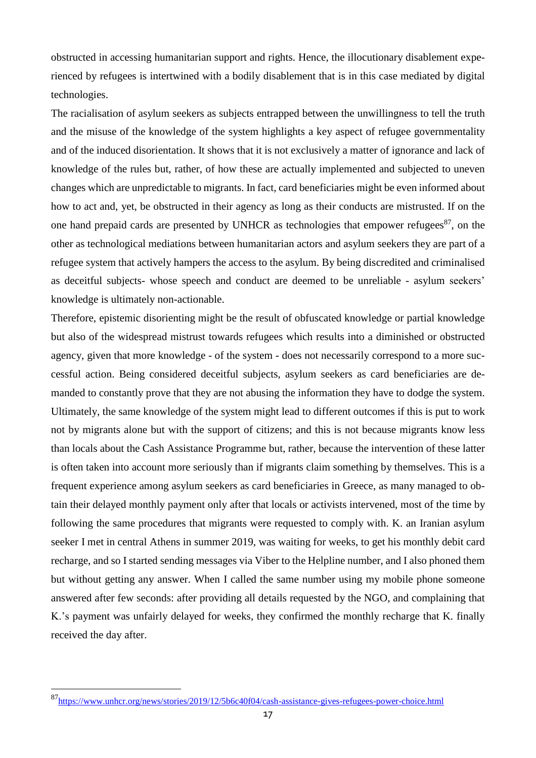obstructed in accessing humanitarian support and rights. Hence, the illocutionary disablement experienced by refugees is intertwined with a bodily disablement that is in this case mediated by digital technologies.

The racialisation of asylum seekers as subjects entrapped between the unwillingness to tell the truth and the misuse of the knowledge of the system highlights a key aspect of refugee governmentality and of the induced disorientation. It shows that it is not exclusively a matter of ignorance and lack of knowledge of the rules but, rather, of how these are actually implemented and subjected to uneven changes which are unpredictable to migrants. In fact, card beneficiaries might be even informed about how to act and, yet, be obstructed in their agency as long as their conducts are mistrusted. If on the one hand prepaid cards are presented by UNHCR as technologies that empower refugees<sup>87</sup>, on the other as technological mediations between humanitarian actors and asylum seekers they are part of a refugee system that actively hampers the access to the asylum. By being discredited and criminalised as deceitful subjects- whose speech and conduct are deemed to be unreliable - asylum seekers' knowledge is ultimately non-actionable.

Therefore, epistemic disorienting might be the result of obfuscated knowledge or partial knowledge but also of the widespread mistrust towards refugees which results into a diminished or obstructed agency, given that more knowledge - of the system - does not necessarily correspond to a more successful action. Being considered deceitful subjects, asylum seekers as card beneficiaries are demanded to constantly prove that they are not abusing the information they have to dodge the system. Ultimately, the same knowledge of the system might lead to different outcomes if this is put to work not by migrants alone but with the support of citizens; and this is not because migrants know less than locals about the Cash Assistance Programme but, rather, because the intervention of these latter is often taken into account more seriously than if migrants claim something by themselves. This is a frequent experience among asylum seekers as card beneficiaries in Greece, as many managed to obtain their delayed monthly payment only after that locals or activists intervened, most of the time by following the same procedures that migrants were requested to comply with. K. an Iranian asylum seeker I met in central Athens in summer 2019, was waiting for weeks, to get his monthly debit card recharge, and so I started sending messages via Viber to the Helpline number, and I also phoned them but without getting any answer. When I called the same number using my mobile phone someone answered after few seconds: after providing all details requested by the NGO, and complaining that K.'s payment was unfairly delayed for weeks, they confirmed the monthly recharge that K. finally received the day after.

<sup>87</sup><https://www.unhcr.org/news/stories/2019/12/5b6c40f04/cash-assistance-gives-refugees-power-choice.html>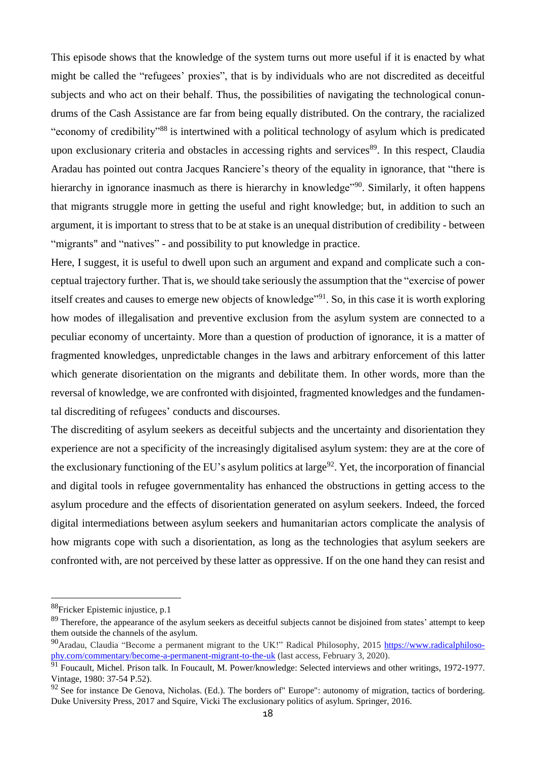This episode shows that the knowledge of the system turns out more useful if it is enacted by what might be called the "refugees' proxies", that is by individuals who are not discredited as deceitful subjects and who act on their behalf. Thus, the possibilities of navigating the technological conundrums of the Cash Assistance are far from being equally distributed. On the contrary, the racialized "economy of credibility"<sup>88</sup> is intertwined with a political technology of asylum which is predicated upon exclusionary criteria and obstacles in accessing rights and services<sup>89</sup>. In this respect, Claudia Aradau has pointed out contra Jacques Ranciere's theory of the equality in ignorance, that "there is hierarchy in ignorance inasmuch as there is hierarchy in knowledge<sup>190</sup>. Similarly, it often happens that migrants struggle more in getting the useful and right knowledge; but, in addition to such an argument, it is important to stress that to be at stake is an unequal distribution of credibility - between "migrants" and "natives" - and possibility to put knowledge in practice.

Here, I suggest, it is useful to dwell upon such an argument and expand and complicate such a conceptual trajectory further. That is, we should take seriously the assumption that the "exercise of power itself creates and causes to emerge new objects of knowledge"<sup>91</sup>. So, in this case it is worth exploring how modes of illegalisation and preventive exclusion from the asylum system are connected to a peculiar economy of uncertainty. More than a question of production of ignorance, it is a matter of fragmented knowledges, unpredictable changes in the laws and arbitrary enforcement of this latter which generate disorientation on the migrants and debilitate them. In other words, more than the reversal of knowledge, we are confronted with disjointed, fragmented knowledges and the fundamental discrediting of refugees' conducts and discourses.

The discrediting of asylum seekers as deceitful subjects and the uncertainty and disorientation they experience are not a specificity of the increasingly digitalised asylum system: they are at the core of the exclusionary functioning of the EU's asylum politics at large<sup>92</sup>. Yet, the incorporation of financial and digital tools in refugee governmentality has enhanced the obstructions in getting access to the asylum procedure and the effects of disorientation generated on asylum seekers. Indeed, the forced digital intermediations between asylum seekers and humanitarian actors complicate the analysis of how migrants cope with such a disorientation, as long as the technologies that asylum seekers are confronted with, are not perceived by these latter as oppressive. If on the one hand they can resist and

<sup>88</sup>Fricker Epistemic injustice, p.1

 $89$  Therefore, the appearance of the asylum seekers as deceitful subjects cannot be disjoined from states' attempt to keep them outside the channels of the asylum.

<sup>&</sup>lt;sup>90</sup>Aradau, Claudia "Become a permanent migrant to the UK!" Radical Philosophy, 2015 [https://www.radicalphiloso](https://www.radicalphilosophy.com/commentary/become-a-permanent-migrant-to-the-uk)[phy.com/commentary/become-a-permanent-migrant-to-the-uk](https://www.radicalphilosophy.com/commentary/become-a-permanent-migrant-to-the-uk) (last access, February 3, 2020).

<sup>&</sup>lt;sup>91</sup> Foucault, Michel. Prison talk. In Foucault, M. Power/knowledge: Selected interviews and other writings, 1972-1977. Vintage, 1980: 37-54 P.52).

<sup>&</sup>lt;sup>92</sup> See for instance De Genova, Nicholas. (Ed.). The borders of" Europe": autonomy of migration, tactics of bordering. Duke University Press, 2017 and Squire, Vicki The exclusionary politics of asylum. Springer, 2016.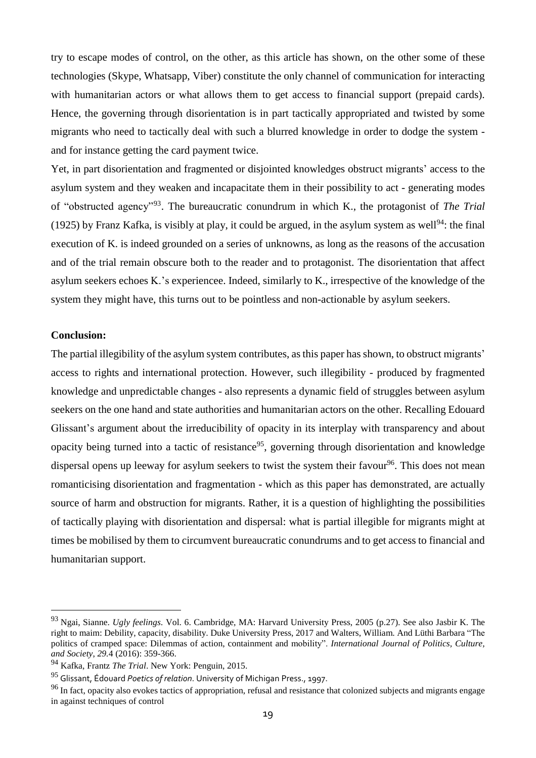try to escape modes of control, on the other, as this article has shown, on the other some of these technologies (Skype, Whatsapp, Viber) constitute the only channel of communication for interacting with humanitarian actors or what allows them to get access to financial support (prepaid cards). Hence, the governing through disorientation is in part tactically appropriated and twisted by some migrants who need to tactically deal with such a blurred knowledge in order to dodge the system and for instance getting the card payment twice.

Yet, in part disorientation and fragmented or disjointed knowledges obstruct migrants' access to the asylum system and they weaken and incapacitate them in their possibility to act - generating modes of "obstructed agency"<sup>93</sup> . The bureaucratic conundrum in which K., the protagonist of *The Trial* (1925) by Franz Kafka, is visibly at play, it could be argued, in the asylum system as well<sup>94</sup>: the final execution of K. is indeed grounded on a series of unknowns, as long as the reasons of the accusation and of the trial remain obscure both to the reader and to protagonist. The disorientation that affect asylum seekers echoes K.'s experiencee. Indeed, similarly to K., irrespective of the knowledge of the system they might have, this turns out to be pointless and non-actionable by asylum seekers.

### **Conclusion:**

 $\overline{a}$ 

The partial illegibility of the asylum system contributes, asthis paper has shown, to obstruct migrants' access to rights and international protection. However, such illegibility - produced by fragmented knowledge and unpredictable changes - also represents a dynamic field of struggles between asylum seekers on the one hand and state authorities and humanitarian actors on the other. Recalling Edouard Glissant's argument about the irreducibility of opacity in its interplay with transparency and about opacity being turned into a tactic of resistance<sup>95</sup>, governing through disorientation and knowledge dispersal opens up leeway for asylum seekers to twist the system their favour<sup>96</sup>. This does not mean romanticising disorientation and fragmentation - which as this paper has demonstrated, are actually source of harm and obstruction for migrants. Rather, it is a question of highlighting the possibilities of tactically playing with disorientation and dispersal: what is partial illegible for migrants might at times be mobilised by them to circumvent bureaucratic conundrums and to get access to financial and humanitarian support.

<sup>93</sup> Ngai, Sianne. *Ugly feelings*. Vol. 6. Cambridge, MA: Harvard University Press, 2005 (p.27). See also Jasbir K. The right to maim: Debility, capacity, disability. Duke University Press, 2017 and Walters, William. And Lüthi Barbara "The politics of cramped space: Dilemmas of action, containment and mobility". *International Journal of Politics, Culture, and Society*, *29.*4 (2016): 359-366.

<sup>94</sup> Kafka, Frantz *The Trial*. New York: Penguin, 2015.

<sup>95</sup> Glissant, Édouard *Poetics of relation*. University of Michigan Press., 1997.

<sup>&</sup>lt;sup>96</sup> In fact, opacity also evokes tactics of appropriation, refusal and resistance that colonized subjects and migrants engage in against techniques of control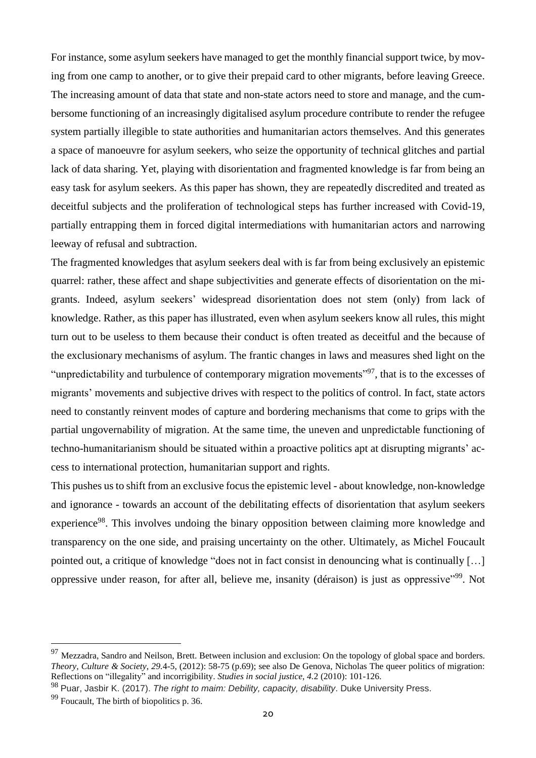For instance, some asylum seekers have managed to get the monthly financial support twice, by moving from one camp to another, or to give their prepaid card to other migrants, before leaving Greece. The increasing amount of data that state and non-state actors need to store and manage, and the cumbersome functioning of an increasingly digitalised asylum procedure contribute to render the refugee system partially illegible to state authorities and humanitarian actors themselves. And this generates a space of manoeuvre for asylum seekers, who seize the opportunity of technical glitches and partial lack of data sharing. Yet, playing with disorientation and fragmented knowledge is far from being an easy task for asylum seekers. As this paper has shown, they are repeatedly discredited and treated as deceitful subjects and the proliferation of technological steps has further increased with Covid-19, partially entrapping them in forced digital intermediations with humanitarian actors and narrowing leeway of refusal and subtraction.

The fragmented knowledges that asylum seekers deal with is far from being exclusively an epistemic quarrel: rather, these affect and shape subjectivities and generate effects of disorientation on the migrants. Indeed, asylum seekers' widespread disorientation does not stem (only) from lack of knowledge. Rather, as this paper has illustrated, even when asylum seekers know all rules, this might turn out to be useless to them because their conduct is often treated as deceitful and the because of the exclusionary mechanisms of asylum. The frantic changes in laws and measures shed light on the "unpredictability and turbulence of contemporary migration movements"<sup>97</sup>, that is to the excesses of migrants' movements and subjective drives with respect to the politics of control. In fact, state actors need to constantly reinvent modes of capture and bordering mechanisms that come to grips with the partial ungovernability of migration. At the same time, the uneven and unpredictable functioning of techno-humanitarianism should be situated within a proactive politics apt at disrupting migrants' access to international protection, humanitarian support and rights.

This pushes us to shift from an exclusive focus the epistemic level - about knowledge, non-knowledge and ignorance - towards an account of the debilitating effects of disorientation that asylum seekers experience<sup>98</sup>. This involves undoing the binary opposition between claiming more knowledge and transparency on the one side, and praising uncertainty on the other. Ultimately, as Michel Foucault pointed out, a critique of knowledge "does not in fact consist in denouncing what is continually […] oppressive under reason, for after all, believe me, insanity (déraison) is just as oppressive"<sup>99</sup>. Not

 $97$  Mezzadra, Sandro and Neilson, Brett. Between inclusion and exclusion: On the topology of global space and borders. *Theory, Culture & Society*, *29.*4-5, (2012): 58-75 (p.69); see also De Genova, Nicholas The queer politics of migration: Reflections on "illegality" and incorrigibility. *Studies in social justice*, *4.*2 (2010): 101-126.

<sup>98</sup> Puar, Jasbir K. (2017). *The right to maim: Debility, capacity, disability*. Duke University Press.

<sup>99</sup> Foucault, The birth of biopolitics p. 36.